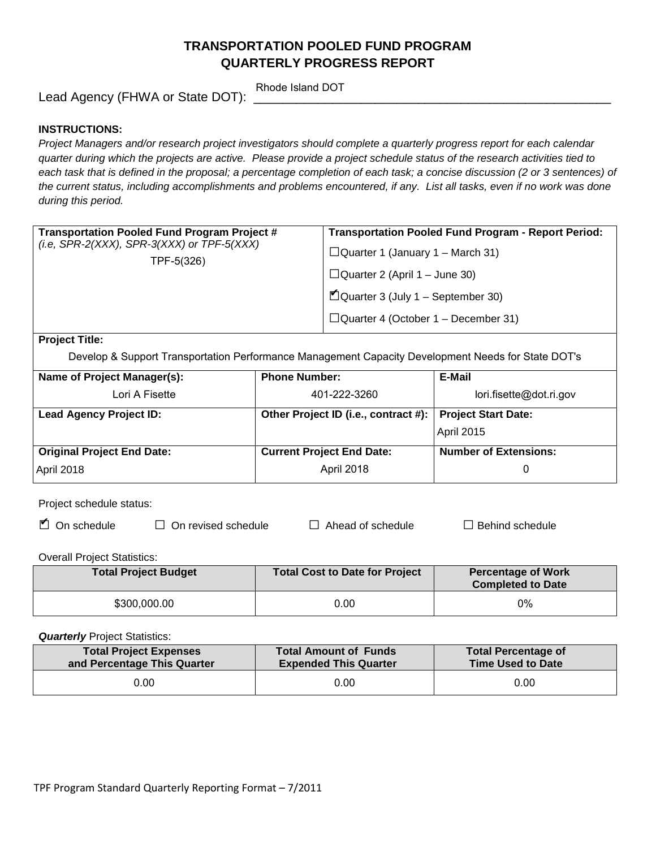# **TRANSPORTATION POOLED FUND PROGRAM QUARTERLY PROGRESS REPORT**

Lead Agency (FHWA or State DOT):

Rhode Island DOT

### **INSTRUCTIONS:**

*Project Managers and/or research project investigators should complete a quarterly progress report for each calendar quarter during which the projects are active. Please provide a project schedule status of the research activities tied to*  each task that is defined in the proposal; a percentage completion of each task; a concise discussion (2 or 3 sentences) of *the current status, including accomplishments and problems encountered, if any. List all tasks, even if no work was done during this period.*

| $\blacksquare$ Quarter 3 (July 1 – September 30)<br>$\Box$ Quarter 4 (October 1 – December 31) | Transportation Pooled Fund Program Project #<br>(i.e, SPR-2(XXX), SPR-3(XXX) or TPF-5(XXX)<br>TPF-5(326) | <b>Transportation Pooled Fund Program - Report Period:</b><br>$\Box$ Quarter 1 (January 1 – March 31)<br>$\Box$ Quarter 2 (April 1 – June 30) |
|------------------------------------------------------------------------------------------------|----------------------------------------------------------------------------------------------------------|-----------------------------------------------------------------------------------------------------------------------------------------------|
|                                                                                                |                                                                                                          |                                                                                                                                               |

**Project Title:**

Develop & Support Transportation Performance Management Capacity Development Needs for State DOT's

| Name of Project Manager(s):       | <b>Phone Number:</b>                 | E-Mail                       |
|-----------------------------------|--------------------------------------|------------------------------|
| Lori A Fisette                    | 401-222-3260                         | lori.fisette@dot.ri.gov      |
| <b>Lead Agency Project ID:</b>    | Other Project ID (i.e., contract #): | <b>Project Start Date:</b>   |
|                                   |                                      | April 2015                   |
| <b>Original Project End Date:</b> | <b>Current Project End Date:</b>     | <b>Number of Extensions:</b> |
| April 2018                        | April 2018                           |                              |

Project schedule status:

| $\Box$ On schedule | $\Box$ On revised schedule | $\Box$ Ahea |
|--------------------|----------------------------|-------------|
|                    |                            |             |

□ On schedule □ On revised schedule □ Ahead of schedule □ Behind schedule

Overall Project Statistics:

| <b>Total Project Budget</b> | <b>Total Cost to Date for Project</b> | <b>Percentage of Work</b><br><b>Completed to Date</b> |
|-----------------------------|---------------------------------------|-------------------------------------------------------|
| \$300,000.00                | 0.00                                  | 0%                                                    |

**Quarterly** Project Statistics:

| <b>Total Project Expenses</b> | <b>Total Amount of Funds</b> | <b>Total Percentage of</b> |
|-------------------------------|------------------------------|----------------------------|
| and Percentage This Quarter   | <b>Expended This Quarter</b> | Time Used to Date          |
| 0.00                          | 0.00                         | 0.00                       |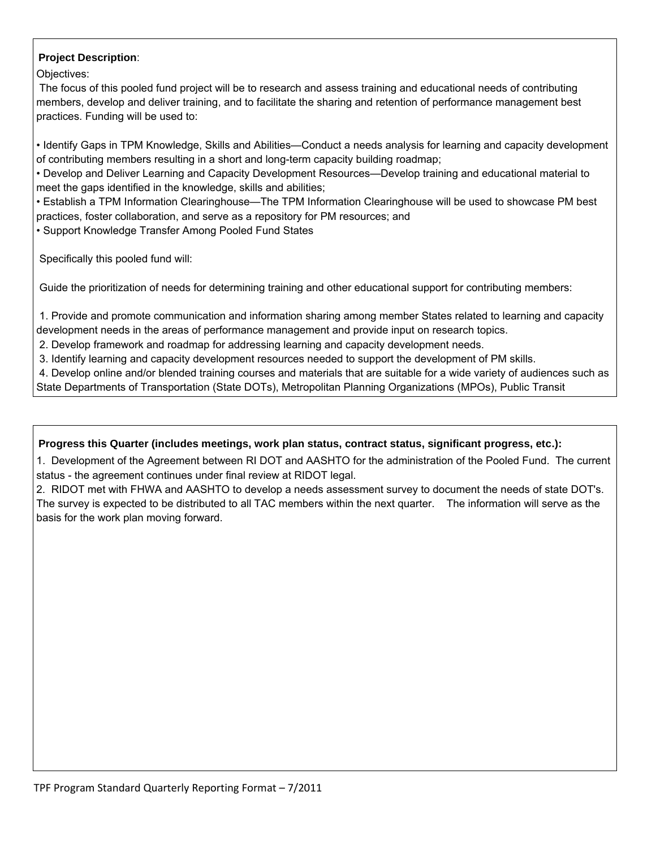# **Project Description**:

Objectives:

 The focus of this pooled fund project will be to research and assess training and educational needs of contributing members, develop and deliver training, and to facilitate the sharing and retention of performance management best practices. Funding will be used to:

• Identify Gaps in TPM Knowledge, Skills and Abilities—Conduct a needs analysis for learning and capacity development of contributing members resulting in a short and long-term capacity building roadmap;

• Develop and Deliver Learning and Capacity Development Resources—Develop training and educational material to meet the gaps identified in the knowledge, skills and abilities;

• Establish a TPM Information Clearinghouse—The TPM Information Clearinghouse will be used to showcase PM best practices, foster collaboration, and serve as a repository for PM resources; and

• Support Knowledge Transfer Among Pooled Fund States

Specifically this pooled fund will:

Guide the prioritization of needs for determining training and other educational support for contributing members:

 1. Provide and promote communication and information sharing among member States related to learning and capacity development needs in the areas of performance management and provide input on research topics.

2. Develop framework and roadmap for addressing learning and capacity development needs.

3. Identify learning and capacity development resources needed to support the development of PM skills.

 4. Develop online and/or blended training courses and materials that are suitable for a wide variety of audiences such as State Departments of Transportation (State DOTs), Metropolitan Planning Organizations (MPOs), Public Transit

## **Progress this Quarter (includes meetings, work plan status, contract status, significant progress, etc.):**

 1. Development of the Agreement between RI DOT and AASHTO for the administration of the Pooled Fund. The current status - the agreement continues under final review at RIDOT legal.

2. RIDOT met with FHWA and AASHTO to develop a needs assessment survey to document the needs of state DOT's. The survey is expected to be distributed to all TAC members within the next quarter. The information will serve as the basis for the work plan moving forward. We are expected with the vendor of the vendor of the vendor of the vendor

showled a regular cycle of review and updating. Develop and maintain a TPM Information  $C$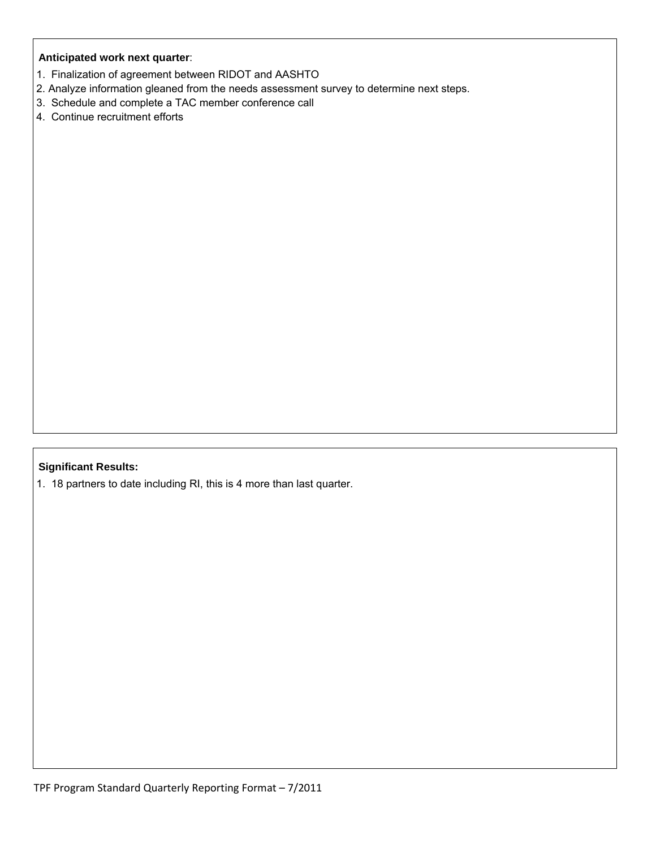### **Anticipated work next quarter**:

- 1. Finalization of agreement between RIDOT and AASHTO
- 2. Analyze information gleaned from the needs assessment survey to determine next steps.
- 3. Schedule and complete a TAC member conference call
- 4. Continue recruitment efforts

# **Significant Results:**

1. 18 partners to date including RI, this is 4 more than last quarter.